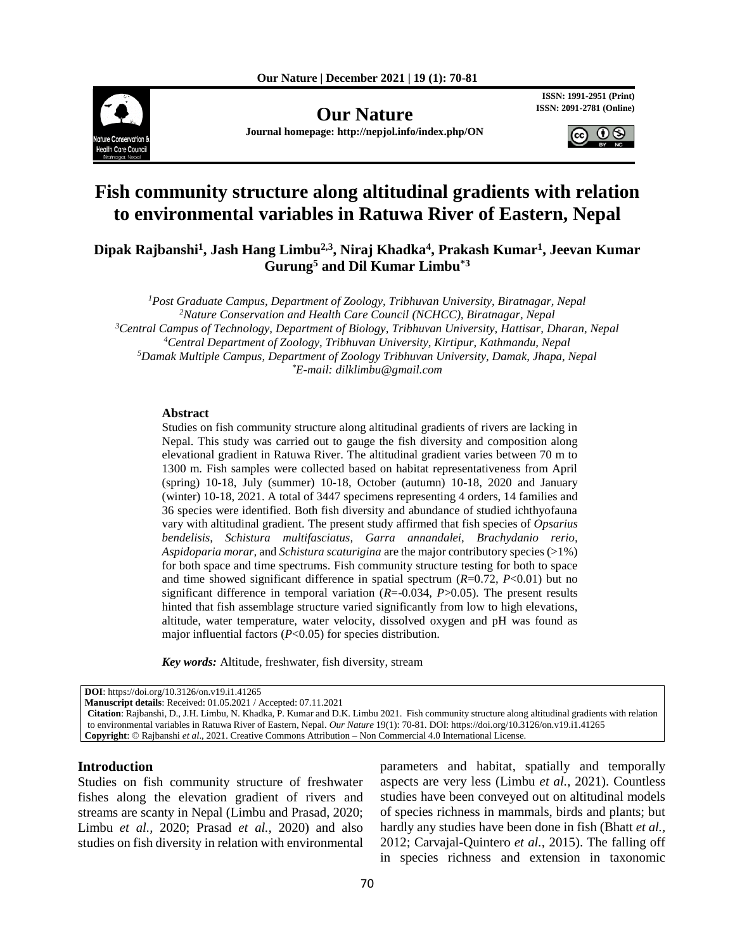

**Our Nature ISSN: 2091-2781 (Online)** 

**Journal homepage: http://nepjol.info/index.php/ON**

**ISSN: 1991-2951 (Print)**



# **Fish community structure along altitudinal gradients with relation to environmental variables in Ratuwa River of Eastern, Nepal**

**Dipak Rajbanshi<sup>1</sup> , Jash Hang Limbu2,3 , Niraj Khadka<sup>4</sup> , Prakash Kumar<sup>1</sup> , Jeevan Kumar Gurung<sup>5</sup> and Dil Kumar Limbu\*3**

*Post Graduate Campus, Department of Zoology, Tribhuvan University, Biratnagar, Nepal Nature Conservation and Health Care Council (NCHCC), Biratnagar, Nepal Central Campus of Technology, Department of Biology, Tribhuvan University, Hattisar, Dharan, Nepal Central Department of Zoology, Tribhuvan University, Kirtipur, Kathmandu, Nepal Damak Multiple Campus, Department of Zoology Tribhuvan University, Damak, Jhapa, Nepal \*E-mail: dilklimbu@gmail.com*

#### **Abstract**

Studies on fish community structure along altitudinal gradients of rivers are lacking in Nepal. This study was carried out to gauge the fish diversity and composition along elevational gradient in Ratuwa River. The altitudinal gradient varies between 70 m to 1300 m. Fish samples were collected based on habitat representativeness from April (spring) 10-18, July (summer) 10-18, October (autumn) 10-18, 2020 and January (winter) 10-18, 2021. A total of 3447 specimens representing 4 orders, 14 families and 36 species were identified. Both fish diversity and abundance of studied ichthyofauna vary with altitudinal gradient. The present study affirmed that fish species of *Opsarius bendelisis, Schistura multifasciatus, Garra annandalei, Brachydanio rerio, Aspidoparia morar,* and *Schistura scaturigina* are the major contributory species (>1%) for both space and time spectrums. Fish community structure testing for both to space and time showed significant difference in spatial spectrum  $(R=0.72, P<0.01)$  but no significant difference in temporal variation  $(R=0.034, P>0.05)$ . The present results hinted that fish assemblage structure varied significantly from low to high elevations, altitude, water temperature, water velocity, dissolved oxygen and pH was found as major influential factors (*P*<0.05) for species distribution.

*Key words:* Altitude, freshwater, fish diversity, stream

**DOI**: https://doi.org/10.3126/on.v19.i1.41265

**Manuscript details**: Received: 01.05.2021 / Accepted: 07.11.2021

**Citation**: Rajbanshi, D., J.H. Limbu, N. Khadka, P. Kumar and D.K. Limbu 2021. Fish community structure along altitudinal gradients with relation to environmental variables in Ratuwa River of Eastern, Nepal. *Our Nature* 19(1): 70-81. DOI: https://doi.org/10.3126/on.v19.i1.41265 **Copyright**: © Rajbanshi *et al*., 2021. Creative Commons Attribution – Non Commercial 4.0 International License.

# **Introduction**

Studies on fish community structure of freshwater fishes along the elevation gradient of rivers and streams are scanty in Nepal (Limbu and Prasad, 2020; Limbu *et al.,* 2020; Prasad *et al.,* 2020) and also studies on fish diversity in relation with environmental parameters and habitat, spatially and temporally aspects are very less (Limbu *et al.,* 2021). Countless studies have been conveyed out on altitudinal models of species richness in mammals, birds and plants; but hardly any studies have been done in fish (Bhatt *et al.,* 2012; Carvajal-Quintero *et al.,* 2015). The falling off in species richness and extension in taxonomic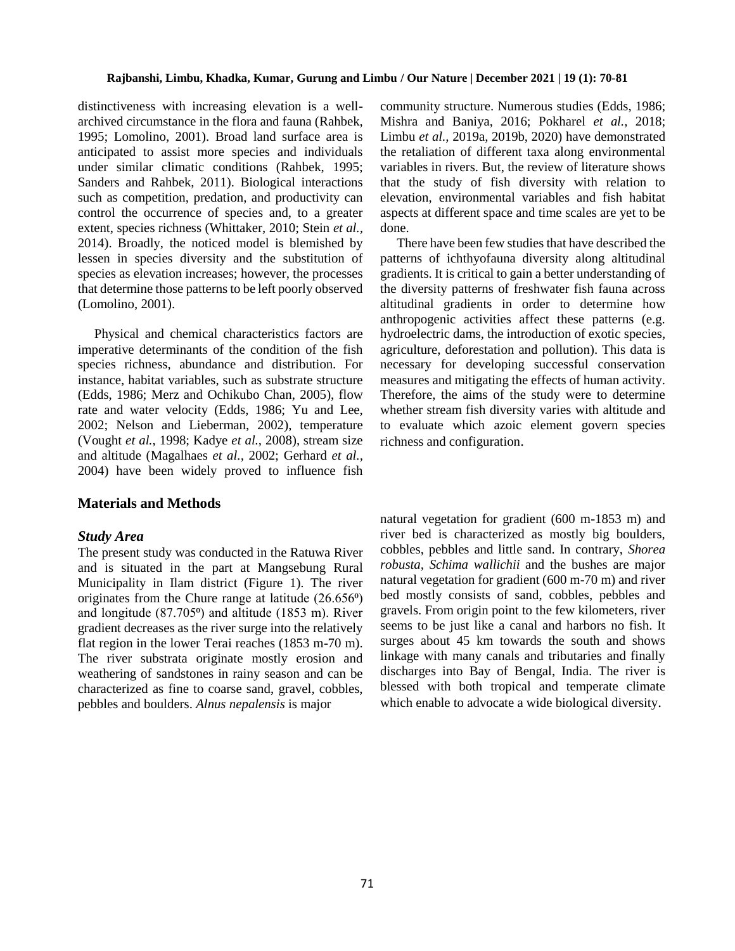distinctiveness with increasing elevation is a wellarchived circumstance in the flora and fauna (Rahbek, 1995; Lomolino, 2001). Broad land surface area is anticipated to assist more species and individuals under similar climatic conditions (Rahbek, 1995; Sanders and Rahbek, 2011). Biological interactions such as competition, predation, and productivity can control the occurrence of species and, to a greater extent, species richness (Whittaker, 2010; Stein *et al.,* 2014). Broadly, the noticed model is blemished by lessen in species diversity and the substitution of species as elevation increases; however, the processes that determine those patterns to be left poorly observed (Lomolino, 2001).

 Physical and chemical characteristics factors are imperative determinants of the condition of the fish species richness, abundance and distribution. For instance, habitat variables, such as substrate structure (Edds, 1986; Merz and Ochikubo Chan, 2005), flow rate and water velocity (Edds, 1986; Yu and Lee, 2002; Nelson and Lieberman, 2002), temperature (Vought *et al.*, 1998; Kadye *et al.,* 2008), stream size and altitude (Magalhaes *et al.,* 2002; Gerhard *et al.,* 2004) have been widely proved to influence fish

# **Materials and Methods**

# *Study Area*

The present study was conducted in the Ratuwa River and is situated in the part at Mangsebung Rural Municipality in Ilam district (Figure 1). The river originates from the Chure range at latitude (26.656⁰) and longitude  $(87.705)$  and altitude  $(1853 \text{ m})$ . River gradient decreases as the river surge into the relatively flat region in the lower Terai reaches (1853 m-70 m). The river substrata originate mostly erosion and weathering of sandstones in rainy season and can be characterized as fine to coarse sand, gravel, cobbles, pebbles and boulders. *Alnus nepalensis* is major

community structure. Numerous studies (Edds, 1986; Mishra and Baniya, 2016; Pokharel *et al.,* 2018; Limbu *et al.,* 2019a, 2019b, 2020) have demonstrated the retaliation of different taxa along environmental variables in rivers. But, the review of literature shows that the study of fish diversity with relation to elevation, environmental variables and fish habitat aspects at different space and time scales are yet to be done.

 There have been few studies that have described the patterns of ichthyofauna diversity along altitudinal gradients. It is critical to gain a better understanding of the diversity patterns of freshwater fish fauna across altitudinal gradients in order to determine how anthropogenic activities affect these patterns (e.g. hydroelectric dams, the introduction of exotic species, agriculture, deforestation and pollution). This data is necessary for developing successful conservation measures and mitigating the effects of human activity. Therefore, the aims of the study were to determine whether stream fish diversity varies with altitude and to evaluate which azoic element govern species richness and configuration.

natural vegetation for gradient (600 m-1853 m) and river bed is characterized as mostly big boulders, cobbles, pebbles and little sand. In contrary, *Shorea robusta, Schima wallichii* and the bushes are major natural vegetation for gradient (600 m-70 m) and river bed mostly consists of sand, cobbles, pebbles and gravels. From origin point to the few kilometers, river seems to be just like a canal and harbors no fish. It surges about 45 km towards the south and shows linkage with many canals and tributaries and finally discharges into Bay of Bengal, India. The river is blessed with both tropical and temperate climate which enable to advocate a wide biological diversity.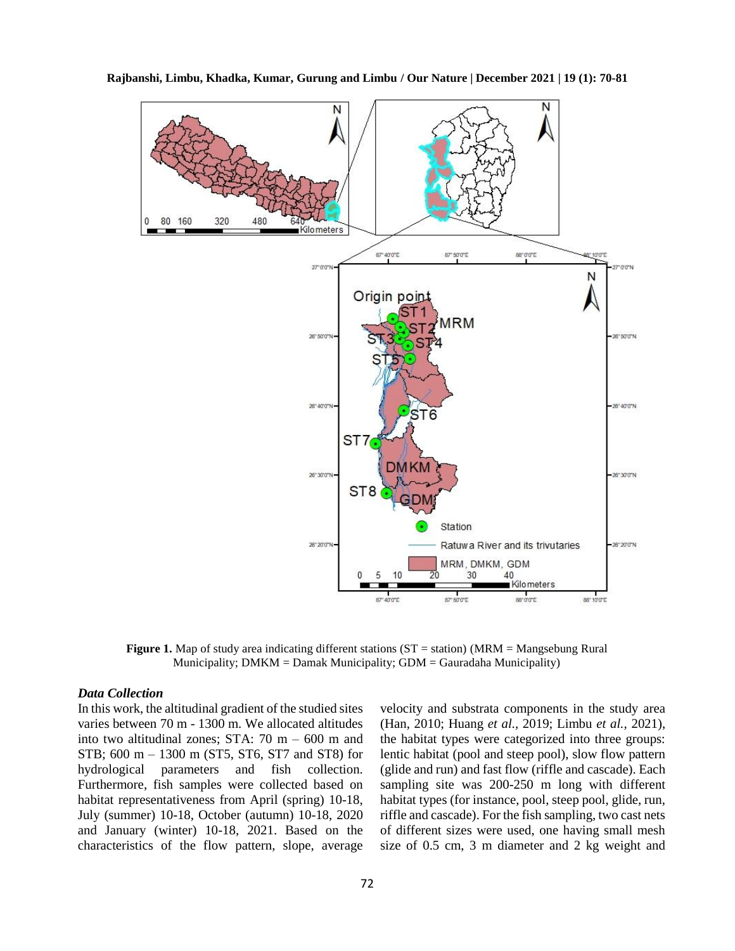

**Rajbanshi, Limbu, Khadka, Kumar, Gurung and Limbu / Our Nature | December 2021 | 19 (1): 70-81**

**Figure 1.** Map of study area indicating different stations (ST = station) (MRM = Mangsebung Rural Municipality;  $DMKM =$ Damak Municipality;  $GDM =$ Gauradaha Municipality)

# *Data Collection*

In this work, the altitudinal gradient of the studied sites varies between 70 m - 1300 m. We allocated altitudes into two altitudinal zones; STA: 70 m – 600 m and STB; 600 m – 1300 m (ST5, ST6, ST7 and ST8) for hydrological parameters and fish collection. Furthermore, fish samples were collected based on habitat representativeness from April (spring) 10-18, July (summer) 10-18, October (autumn) 10-18, 2020 and January (winter) 10-18, 2021. Based on the characteristics of the flow pattern, slope, average velocity and substrata components in the study area (Han, 2010; Huang *et al.,* 2019; Limbu *et al.,* 2021), the habitat types were categorized into three groups: lentic habitat (pool and steep pool), slow flow pattern (glide and run) and fast flow (riffle and cascade). Each sampling site was 200-250 m long with different habitat types (for instance, pool, steep pool, glide, run, riffle and cascade). For the fish sampling, two cast nets of different sizes were used, one having small mesh size of 0.5 cm, 3 m diameter and 2 kg weight and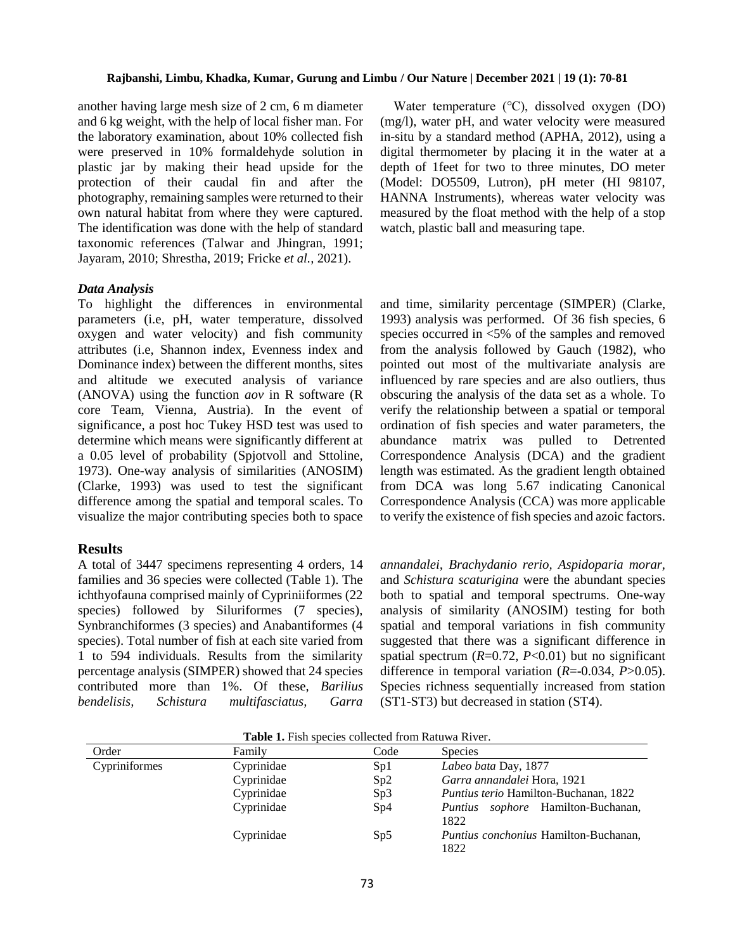another having large mesh size of 2 cm, 6 m diameter and 6 kg weight, with the help of local fisher man. For the laboratory examination, about 10% collected fish were preserved in 10% formaldehyde solution in plastic jar by making their head upside for the protection of their caudal fin and after the photography, remaining samples were returned to their own natural habitat from where they were captured. The identification was done with the help of standard taxonomic references (Talwar and Jhingran, 1991; Jayaram, 2010; Shrestha, 2019; Fricke *et al.,* 2021).

#### *Data Analysis*

To highlight the differences in environmental parameters (i.e, pH, water temperature, dissolved oxygen and water velocity) and fish community attributes (i.e, Shannon index, Evenness index and Dominance index) between the different months, sites and altitude we executed analysis of variance (ANOVA) using the function *aov* in R software (R core Team, Vienna, Austria). In the event of significance, a post hoc Tukey HSD test was used to determine which means were significantly different at a 0.05 level of probability (Spjotvoll and Sttoline, 1973). One-way analysis of similarities (ANOSIM) (Clarke, 1993) was used to test the significant difference among the spatial and temporal scales. To visualize the major contributing species both to space

# **Results**

A total of 3447 specimens representing 4 orders, 14 families and 36 species were collected (Table 1). The ichthyofauna comprised mainly of Cypriniiformes (22 species) followed by Siluriformes (7 species), Synbranchiformes (3 species) and Anabantiformes (4 species). Total number of fish at each site varied from 1 to 594 individuals. Results from the similarity percentage analysis (SIMPER) showed that 24 species contributed more than 1%. Of these, *Barilius bendelisis, Schistura multifasciatus, Garra* 

 Water temperature (℃), dissolved oxygen (DO) (mg/l), water pH, and water velocity were measured in-situ by a standard method (APHA, 2012), using a digital thermometer by placing it in the water at a depth of 1feet for two to three minutes, DO meter (Model: DO5509, Lutron), pH meter (HI 98107, HANNA Instruments), whereas water velocity was measured by the float method with the help of a stop watch, plastic ball and measuring tape.

and time, similarity percentage (SIMPER) (Clarke, 1993) analysis was performed. Of 36 fish species, 6 species occurred in <5% of the samples and removed from the analysis followed by Gauch (1982), who pointed out most of the multivariate analysis are influenced by rare species and are also outliers, thus obscuring the analysis of the data set as a whole. To verify the relationship between a spatial or temporal ordination of fish species and water parameters, the abundance matrix was pulled to Detrented Correspondence Analysis (DCA) and the gradient length was estimated. As the gradient length obtained from DCA was long 5.67 indicating Canonical Correspondence Analysis (CCA) was more applicable to verify the existence of fish species and azoic factors.

*annandalei, Brachydanio rerio, Aspidoparia morar,* and *Schistura scaturigina* were the abundant species both to spatial and temporal spectrums. One-way analysis of similarity (ANOSIM) testing for both spatial and temporal variations in fish community suggested that there was a significant difference in spatial spectrum  $(R=0.72, P<0.01)$  but no significant difference in temporal variation (*R*=-0.034, *P*>0.05). Species richness sequentially increased from station (ST1-ST3) but decreased in station (ST4).

| <b>THOIC IT I</b> TON OPCCIOS CONCERCE HOME IMMERICITY. |            |      |                                                      |  |  |  |
|---------------------------------------------------------|------------|------|------------------------------------------------------|--|--|--|
| Order                                                   | Family     | Code | <b>Species</b>                                       |  |  |  |
| Cypriniformes                                           | Cyprinidae | Sp1  | Labeo bata Day, 1877                                 |  |  |  |
|                                                         | Cyprinidae | Sp2  | Garra annandalei Hora, 1921                          |  |  |  |
|                                                         | Cyprinidae | Sp3  | <i>Puntius terio</i> Hamilton-Buchanan, 1822         |  |  |  |
|                                                         | Cyprinidae | Sp4  | <i>Puntius sophore</i> Hamilton-Buchanan,<br>1822    |  |  |  |
|                                                         | Cyprinidae | Sp5  | <i>Puntius conchonius</i> Hamilton-Buchanan,<br>1822 |  |  |  |

**Table 1.** Fish species collected from Ratuwa River.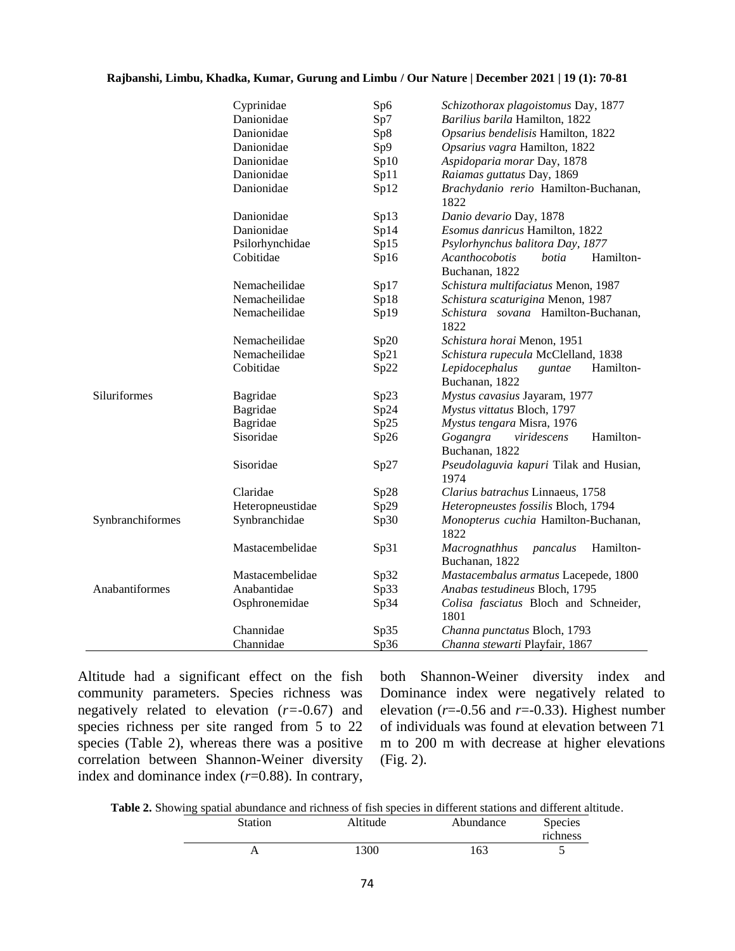|                  | Cyprinidae       | Sp6  | Schizothorax plagoistomus Day, 1877                      |
|------------------|------------------|------|----------------------------------------------------------|
|                  | Danionidae       | Sp7  | Barilius barila Hamilton, 1822                           |
|                  | Danionidae       | Sp8  | Opsarius bendelisis Hamilton, 1822                       |
|                  | Danionidae       | Sp9  | Opsarius vagra Hamilton, 1822                            |
|                  | Danionidae       | Sp10 | Aspidoparia morar Day, 1878                              |
|                  | Danionidae       | Sp11 | Raiamas guttatus Day, 1869                               |
|                  | Danionidae       | Sp12 | Brachydanio rerio Hamilton-Buchanan,<br>1822             |
|                  | Danionidae       | Sp13 | Danio devario Day, 1878                                  |
|                  | Danionidae       | Sp14 | Esomus danricus Hamilton, 1822                           |
|                  | Psilorhynchidae  | Sp15 | Psylorhynchus balitora Day, 1877                         |
|                  | Cobitidae        | Sp16 | Acanthocobotis<br>botia<br>Hamilton-<br>Buchanan, 1822   |
|                  | Nemacheilidae    | Sp17 | Schistura multifaciatus Menon, 1987                      |
|                  | Nemacheilidae    | Sp18 | Schistura scaturigina Menon, 1987                        |
|                  | Nemacheilidae    | Sp19 | Schistura sovana Hamilton-Buchanan,                      |
|                  |                  |      | 1822                                                     |
|                  | Nemacheilidae    | Sp20 | Schistura horai Menon, 1951                              |
|                  | Nemacheilidae    | Sp21 | Schistura rupecula McClelland, 1838                      |
|                  | Cobitidae        | Sp22 | Hamilton-<br>Lepidocephalus<br>guntae<br>Buchanan, 1822  |
| Siluriformes     | Bagridae         | Sp23 | Mystus cavasius Jayaram, 1977                            |
|                  | Bagridae         | Sp24 | Mystus vittatus Bloch, 1797                              |
|                  | Bagridae         | Sp25 | Mystus tengara Misra, 1976                               |
|                  | Sisoridae        | Sp26 | Hamilton-<br>Gogangra<br>viridescens<br>Buchanan, 1822   |
|                  | Sisoridae        | Sp27 | Pseudolaguvia kapuri Tilak and Husian,<br>1974           |
|                  | Claridae         | Sp28 | Clarius batrachus Linnaeus, 1758                         |
|                  | Heteropneustidae | Sp29 | Heteropneustes fossilis Bloch, 1794                      |
| Synbranchiformes | Synbranchidae    | Sp30 | Monopterus cuchia Hamilton-Buchanan,<br>1822             |
|                  | Mastacembelidae  | Sp31 | Hamilton-<br>Macrognathhus<br>pancalus<br>Buchanan, 1822 |
|                  | Mastacembelidae  | Sp32 | Mastacembalus armatus Lacepede, 1800                     |
| Anabantiformes   | Anabantidae      | Sp33 | Anabas testudineus Bloch, 1795                           |
|                  | Osphronemidae    | Sp34 | Colisa fasciatus Bloch and Schneider,                    |
|                  |                  |      | 1801                                                     |
|                  | Channidae        | Sp35 | Channa punctatus Bloch, 1793                             |
|                  | Channidae        | Sp36 | Channa stewarti Playfair, 1867                           |

Altitude had a significant effect on the fish community parameters. Species richness was negatively related to elevation (*r=*-0.67) and species richness per site ranged from 5 to 22 species (Table 2), whereas there was a positive correlation between Shannon-Weiner diversity index and dominance index (*r*=0.88). In contrary,

both Shannon-Weiner diversity index and Dominance index were negatively related to elevation ( $r=0.56$  and  $r=-0.33$ ). Highest number of individuals was found at elevation between 71 m to 200 m with decrease at higher elevations (Fig. 2).

**Table 2.** Showing spatial abundance and richness of fish species in different stations and different altitude.

| Station | Altitude | Abundance | <b>Species</b><br>richness |
|---------|----------|-----------|----------------------------|
|         | 1300     | 163       |                            |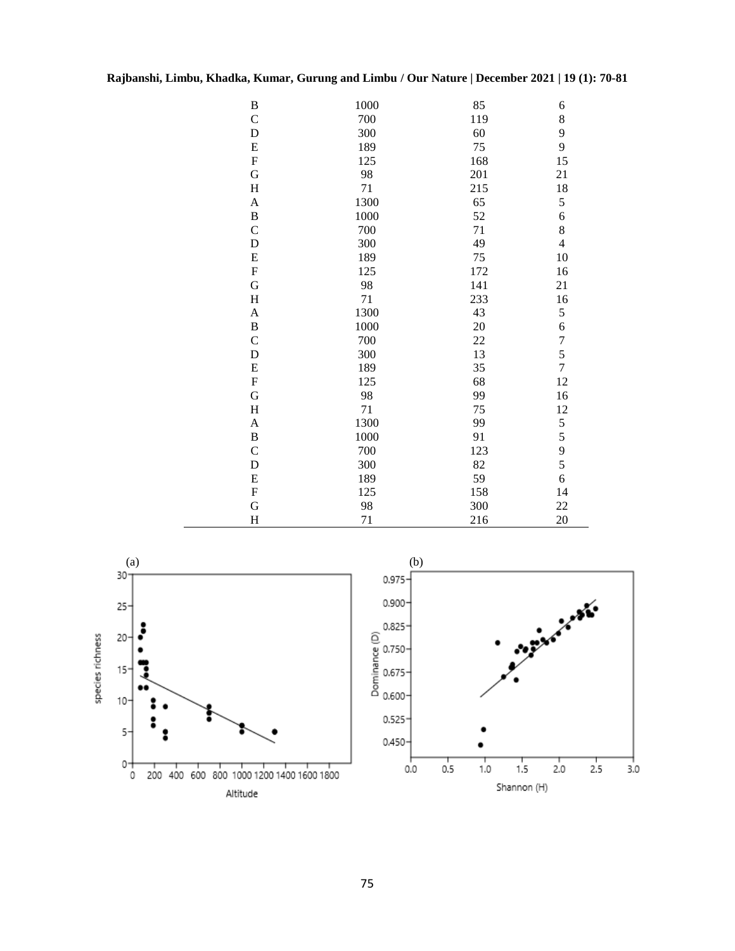| $\, {\bf B}$              | 1000 | 85  | 6                                          |
|---------------------------|------|-----|--------------------------------------------|
| $\mathbf C$               | 700  | 119 | 8                                          |
| D                         | 300  | 60  | 9                                          |
| ${\bf E}$                 | 189  | 75  | 9                                          |
| ${\bf F}$                 | 125  | 168 | 15                                         |
| G                         | 98   | 201 | 21                                         |
| $\rm H$                   | 71   | 215 | 18                                         |
| $\boldsymbol{\mathsf{A}}$ | 1300 | 65  | 5                                          |
| $\, {\bf B}$              | 1000 | 52  |                                            |
| $\mathbf C$               | 700  | 71  | $\begin{array}{c} 6 \\ 8 \end{array}$      |
| D                         | 300  | 49  | $\overline{4}$                             |
| ${\bf E}$                 | 189  | 75  | 10                                         |
| ${\bf F}$                 | 125  | 172 | 16                                         |
| $\mathbf G$               | 98   | 141 | 21                                         |
| $\rm H$                   | 71   | 233 | 16                                         |
| $\boldsymbol{A}$          | 1300 | 43  | 5                                          |
| $\, {\bf B}$              | 1000 | 20  | $\mathbf{6}$                               |
| $\mathbf C$               | 700  | 22  | $\begin{array}{c} 7 \\ 5 \\ 7 \end{array}$ |
| D                         | 300  | 13  |                                            |
| ${\bf E}$                 | 189  | 35  |                                            |
| ${\bf F}$                 | 125  | 68  | 12                                         |
| G                         | 98   | 99  | 16                                         |
| $\rm H$                   | 71   | 75  | 12                                         |
| $\boldsymbol{A}$          | 1300 | 99  | 55956                                      |
| $\, {\bf B}$              | 1000 | 91  |                                            |
| $\mathsf{C}$              | 700  | 123 |                                            |
| D                         | 300  | 82  |                                            |
| ${\bf E}$                 | 189  | 59  |                                            |
| ${\bf F}$                 | 125  | 158 | 14                                         |
| G                         | 98   | 300 | 22                                         |
| H                         | 71   | 216 | 20                                         |



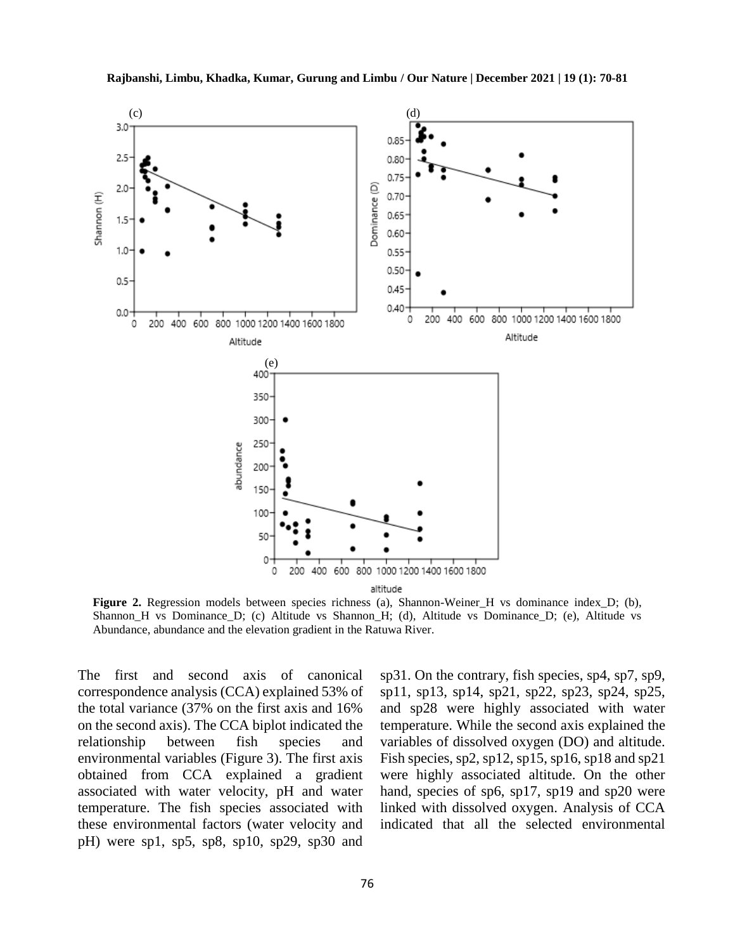

**Figure 2.** Regression models between species richness (a), Shannon-Weiner H vs dominance index D; (b), Shannon\_H vs Dominance\_D; (c) Altitude vs Shannon\_H; (d), Altitude vs Dominance\_D; (e), Altitude vs Abundance, abundance and the elevation gradient in the Ratuwa River.

The first and second axis of canonical correspondence analysis (CCA) explained 53% of the total variance (37% on the first axis and 16% on the second axis). The CCA biplot indicated the relationship between fish species and environmental variables (Figure 3). The first axis obtained from CCA explained a gradient associated with water velocity, pH and water temperature. The fish species associated with these environmental factors (water velocity and pH) were sp1, sp5, sp8, sp10, sp29, sp30 and

sp31. On the contrary, fish species, sp4, sp7, sp9, sp11, sp13, sp14, sp21, sp22, sp23, sp24, sp25, and sp28 were highly associated with water temperature. While the second axis explained the variables of dissolved oxygen (DO) and altitude. Fish species, sp2, sp12, sp15, sp16, sp18 and sp21 were highly associated altitude. On the other hand, species of sp6, sp17, sp19 and sp20 were linked with dissolved oxygen. Analysis of CCA indicated that all the selected environmental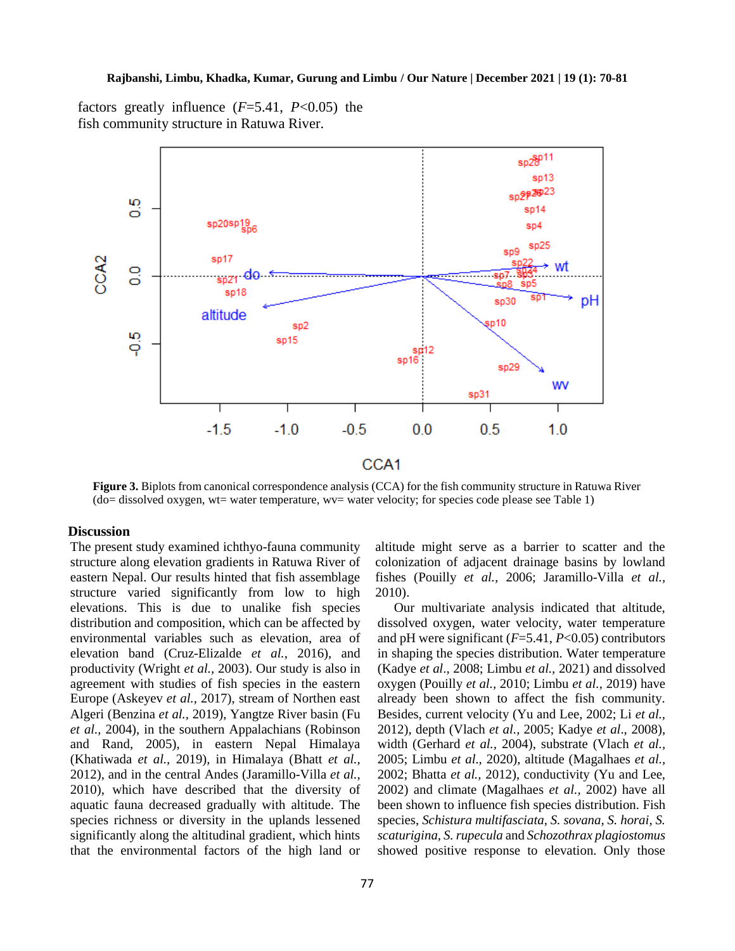factors greatly influence (*F*=5.41, *P*<0.05) the fish community structure in Ratuwa River.



**Figure 3.** Biplots from canonical correspondence analysis (CCA) for the fish community structure in Ratuwa River (do= dissolved oxygen, wt= water temperature, wv= water velocity; for species code please see Table 1)

# **Discussion**

The present study examined ichthyo-fauna community structure along elevation gradients in Ratuwa River of eastern Nepal. Our results hinted that fish assemblage structure varied significantly from low to high elevations. This is due to unalike fish species distribution and composition, which can be affected by environmental variables such as elevation, area of elevation band (Cruz-Elizalde *et al.,* 2016), and productivity (Wright *et al.,* 2003). Our study is also in agreement with studies of fish species in the eastern Europe (Askeyev *et al.,* 2017), stream of Northen east Algeri (Benzina *et al.,* 2019), Yangtze River basin (Fu *et al.,* 2004), in the southern Appalachians (Robinson and Rand, 2005), in eastern Nepal Himalaya (Khatiwada *et al.,* 2019), in Himalaya (Bhatt *et al.,* 2012), and in the central Andes (Jaramillo-Villa *et al.,* 2010), which have described that the diversity of aquatic fauna decreased gradually with altitude. The species richness or diversity in the uplands lessened significantly along the altitudinal gradient, which hints that the environmental factors of the high land or

altitude might serve as a barrier to scatter and the colonization of adjacent drainage basins by lowland fishes (Pouilly *et al.,* 2006; Jaramillo-Villa *et al.,* 2010).

 Our multivariate analysis indicated that altitude, dissolved oxygen, water velocity, water temperature and pH were significant (*F*=5.41, *P*<0.05) contributors in shaping the species distribution. Water temperature (Kadye *et al*., 2008; Limbu *et al.,* 2021) and dissolved oxygen (Pouilly *et al.,* 2010; Limbu *et al.,* 2019) have already been shown to affect the fish community. Besides, current velocity (Yu and Lee, 2002; Li *et al.,* 2012), depth (Vlach *et al.,* 2005; Kadye *et al*., 2008), width (Gerhard *et al.,* 2004), substrate (Vlach *et al.,* 2005; Limbu *et al.,* 2020), altitude (Magalhaes *et al.,* 2002; Bhatta *et al.,* 2012), conductivity (Yu and Lee, 2002) and climate (Magalhaes *et al.,* 2002) have all been shown to influence fish species distribution. Fish species, *Schistura multifasciata, S. sovana, S. horai, S. scaturigina, S. rupecula* and *Schozothrax plagiostomus* showed positive response to elevation. Only those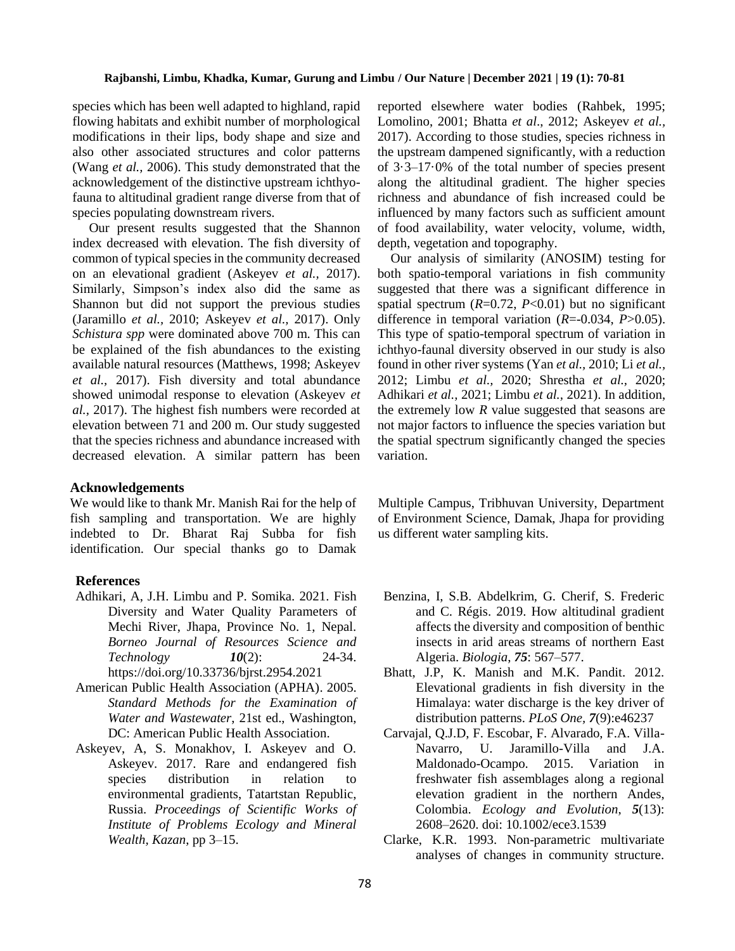species which has been well adapted to highland, rapid flowing habitats and exhibit number of morphological modifications in their lips, body shape and size and also other associated structures and color patterns (Wang *et al.,* 2006). This study demonstrated that the acknowledgement of the distinctive upstream ichthyofauna to altitudinal gradient range diverse from that of species populating downstream rivers.

 Our present results suggested that the Shannon index decreased with elevation. The fish diversity of common of typical species in the community decreased on an elevational gradient (Askeyev *et al.,* 2017). Similarly, Simpson's index also did the same as Shannon but did not support the previous studies (Jaramillo *et al.,* 2010; Askeyev *et al.,* 2017). Only *Schistura spp* were dominated above 700 m. This can be explained of the fish abundances to the existing available natural resources (Matthews, 1998; Askeyev *et al.,* 2017). Fish diversity and total abundance showed unimodal response to elevation (Askeyev *et al.,* 2017). The highest fish numbers were recorded at elevation between 71 and 200 m. Our study suggested that the species richness and abundance increased with decreased elevation. A similar pattern has been

# **Acknowledgements**

We would like to thank Mr. Manish Rai for the help of fish sampling and transportation. We are highly indebted to Dr. Bharat Raj Subba for fish identification. Our special thanks go to Damak

#### **References**

- Adhikari, A, J.H. Limbu and P. Somika. 2021. Fish Diversity and Water Quality Parameters of Mechi River, Jhapa, Province No. 1, Nepal. *Borneo Journal of Resources Science and Technology 10*(2): 24-34. <https://doi.org/10.33736/bjrst.2954.2021>
- American Public Health Association (APHA). 2005. *Standard Methods for the Examination of Water and Wastewater*, 21st ed., Washington, DC: American Public Health Association.
- Askeyev, A, S. Monakhov, I. Askeyev and O. Askeyev. 2017. Rare and endangered fish species distribution in relation to environmental gradients, Tatartstan Republic, Russia. *Proceedings of Scientific Works of Institute of Problems Ecology and Mineral Wealth, Kazan*, pp 3–15.

reported elsewhere water bodies (Rahbek, 1995; Lomolino, 2001; Bhatta *et al*., 2012; Askeyev *et al.,* 2017). According to those studies, species richness in the upstream dampened significantly, with a reduction of 3·3–17·0% of the total number of species present along the altitudinal gradient. The higher species richness and abundance of fish increased could be influenced by many factors such as sufficient amount of food availability, water velocity, volume, width, depth, vegetation and topography.

 Our analysis of similarity (ANOSIM) testing for both spatio-temporal variations in fish community suggested that there was a significant difference in spatial spectrum  $(R=0.72, P<0.01)$  but no significant difference in temporal variation (*R*=-0.034, *P*>0.05). This type of spatio-temporal spectrum of variation in ichthyo-faunal diversity observed in our study is also found in other river systems (Yan *et al.,* 2010; Li *et al.,* 2012; Limbu *et al.,* 2020; Shrestha *et al.,* 2020; Adhikari *et al.,* 2021; Limbu *et al.,* 2021). In addition, the extremely low *R* value suggested that seasons are not major factors to influence the species variation but the spatial spectrum significantly changed the species variation.

Multiple Campus, Tribhuvan University, Department of Environment Science, Damak, Jhapa for providing us different water sampling kits.

- Benzina, I, S.B. Abdelkrim, G. Cherif, S. Frederic and C. Régis. 2019. How altitudinal gradient affects the diversity and composition of benthic insects in arid areas streams of northern East Algeria. *Biologia*, *75*: 567–577.
- Bhatt, J.P, K. Manish and M.K. Pandit. 2012. Elevational gradients in fish diversity in the Himalaya: water discharge is the key driver of distribution patterns. *PLoS One, 7*(9):e46237
- Carvajal, Q.J.D, F. Escobar, F. Alvarado, F.A. Villa-Navarro, U. Jaramillo-Villa and J.A. Maldonado-Ocampo. 2015. Variation in freshwater fish assemblages along a regional elevation gradient in the northern Andes, Colombia. *Ecology and Evolution*, *5*(13): 2608–2620. doi: [10.1002/ece3.1539](https://dx.doi.org/10.1002%2Fece3.1539)
- Clarke, K.R. 1993. Non-parametric multivariate analyses of changes in community structure.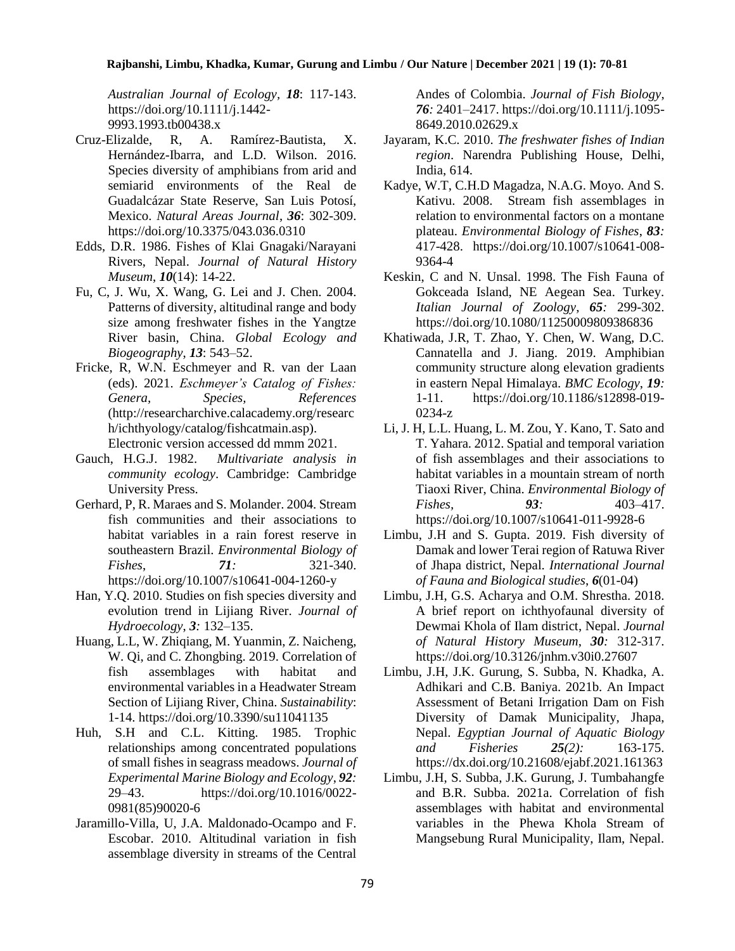*Australian Journal of Ecology, 18*: 117-143. [https://doi.org/10.1111/j.1442-](https://doi.org/10.1111/j.1442-9993.1993.tb00438.x) [9993.1993.tb00438.x](https://doi.org/10.1111/j.1442-9993.1993.tb00438.x)

- Cruz-Elizalde, R, A. Ramírez-Bautista, X. Hernández-Ibarra, and L.D. Wilson. 2016. Species diversity of amphibians from arid and semiarid environments of the Real de Guadalcázar State Reserve, San Luis Potosí, Mexico. *Natural Areas Journal*, *36*: 302-309. <https://doi.org/10.3375/043.036.0310>
- Edds, D.R. 1986. Fishes of Klai Gnagaki/Narayani Rivers, Nepal. *Journal of Natural History Museum*, *10*(14): 14-22.
- Fu, C, J. Wu, X. Wang, G. Lei and J. Chen. 2004. Patterns of diversity, altitudinal range and body size among freshwater fishes in the Yangtze River basin, China. *Global Ecology and Biogeography*, *13*: 543–52.
- Fricke, R, W.N. Eschmeyer and R. van der Laan (eds). 2021. *Eschmeyer's Catalog of Fishes: Genera, Species, References* (http://researcharchive.calacademy.org/researc h/ichthyology/catalog/fishcatmain.asp). Electronic version accessed dd mmm 2021.
- Gauch, H.G.J. 1982. *Multivariate analysis in community ecology*. Cambridge: Cambridge University Press.
- Gerhard, P, R. Maraes and S. Molander. 2004. Stream fish communities and their associations to habitat variables in a rain forest reserve in southeastern Brazil. *Environmental Biology of Fishes*, *71:* 321-340. <https://doi.org/10.1007/s10641-004-1260-y>
- Han, Y.Q. 2010. Studies on fish species diversity and evolution trend in Lijiang River. *Journal of Hydroecology*, *3:* 132–135.
- Huang, L.L, W. Zhiqiang, M. Yuanmin, Z. Naicheng, W. Qi, and C. Zhongbing. 2019. Correlation of fish assemblages with habitat and environmental variables in a Headwater Stream Section of Lijiang River, China. *Sustainability*: 1-14. <https://doi.org/10.3390/su11041135>
- Huh, S.H and C.L. Kitting. 1985. Trophic relationships among concentrated populations of small fishes in seagrass meadows. *Journal of Experimental Marine Biology and Ecology*, *92:* 29–43. [https://doi.org/10.1016/0022-](https://doi.org/10.1016/0022-0981(85)90020-6) [0981\(85\)90020-6](https://doi.org/10.1016/0022-0981(85)90020-6)
- Jaramillo-Villa, U, J.A. Maldonado-Ocampo and F. Escobar. 2010. Altitudinal variation in fish assemblage diversity in streams of the Central

Andes of Colombia. *Journal of Fish Biology*, *76:* 2401–2417. [https://doi.org/10.1111/j.1095-](https://doi.org/10.1111/j.1095-8649.2010.02629.x) [8649.2010.02629.x](https://doi.org/10.1111/j.1095-8649.2010.02629.x)

- Jayaram, K.C. 2010. *The freshwater fishes of Indian region*. Narendra Publishing House, Delhi, India, 614.
- Kadye, W.T, C.H.D Magadza, N.A.G. Moyo. And S. Kativu. 2008. Stream fish assemblages in relation to environmental factors on a montane plateau. *Environmental Biology of Fishes*, *83:* 417-428. [https://doi.org/10.1007/s10641-008-](https://doi.org/10.1007/s10641-008-9364-4) [9364-4](https://doi.org/10.1007/s10641-008-9364-4)
- Keskin, C and N. Unsal. 1998. The Fish Fauna of Gokceada Island, NE Aegean Sea. Turkey. *Italian Journal of Zoology*, *65:* 299-302. <https://doi.org/10.1080/11250009809386836>
- Khatiwada, J.R, T. Zhao, Y. Chen, W. Wang, D.C. Cannatella and J. Jiang. 2019. Amphibian community structure along elevation gradients in eastern Nepal Himalaya. *BMC Ecology*, *19:* 1-11. [https://doi.org/10.1186/s12898-019-](https://doi.org/10.1186/s12898-019-0234-z) [0234-z](https://doi.org/10.1186/s12898-019-0234-z)
- Li, J. H, L.L. Huang, L. M. Zou, Y. Kano, T. Sato and T. Yahara. 2012. Spatial and temporal variation of fish assemblages and their associations to habitat variables in a mountain stream of north Tiaoxi River, China. *Environmental Biology of Fishes, 93:* 403–417. <https://doi.org/10.1007/s10641-011-9928-6>
- Limbu, J.H and S. Gupta. 2019. Fish diversity of Damak and lower Terai region of Ratuwa River of Jhapa district, Nepal. *International Journal of Fauna and Biological studies*, *6*(01-04)
- Limbu, J.H, G.S. Acharya and O.M. Shrestha. 2018. A brief report on ichthyofaunal diversity of Dewmai Khola of Ilam district, Nepal. *Journal of Natural History Museum*, *30:* 312-317. <https://doi.org/10.3126/jnhm.v30i0.27607>
- Limbu, J.H, J.K. Gurung, S. Subba, N. Khadka, A. Adhikari and C.B. Baniya. 2021b. An Impact Assessment of Betani Irrigation Dam on Fish Diversity of Damak Municipality, Jhapa, Nepal. *Egyptian Journal of Aquatic Biology and Fisheries 25(2):* 163-175. <https://dx.doi.org/10.21608/ejabf.2021.161363>
- Limbu, J.H, S. Subba, J.K. Gurung, J. Tumbahangfe and B.R. Subba. 2021a. Correlation of fish assemblages with habitat and environmental variables in the Phewa Khola Stream of Mangsebung Rural Municipality, Ilam, Nepal.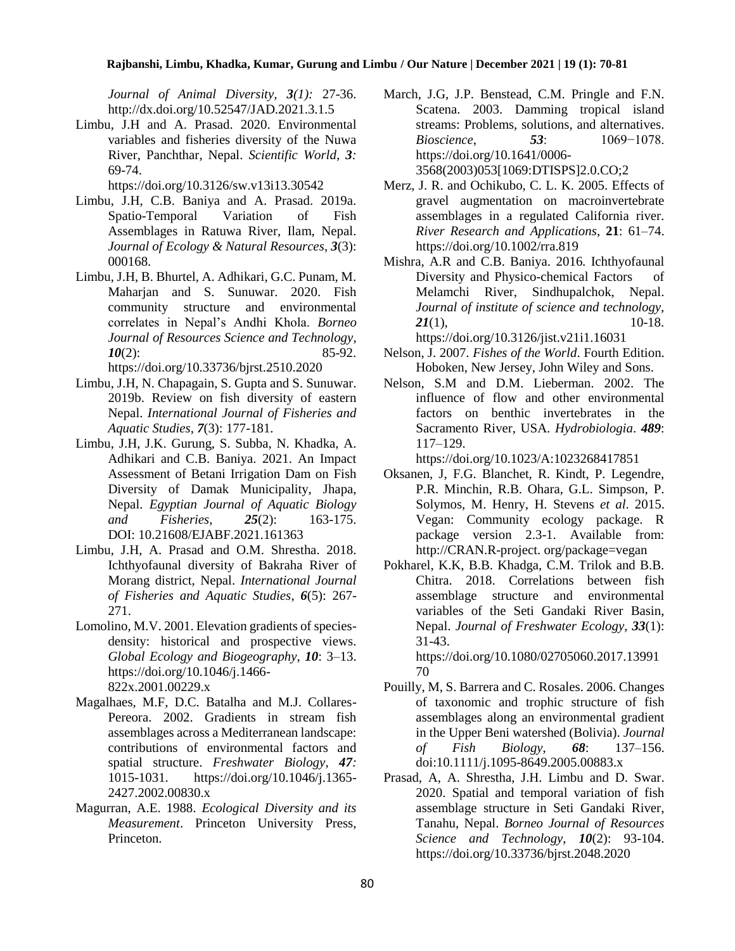*Journal of Animal Diversity, 3(1):* 27-36. <http://dx.doi.org/10.52547/JAD.2021.3.1.5>

Limbu, J.H and A. Prasad. 2020. Environmental variables and fisheries diversity of the Nuwa River, Panchthar, Nepal. *Scientific World*, *3:* 69-74.

<https://doi.org/10.3126/sw.v13i13.30542>

- Limbu, J.H, C.B. Baniya and A. Prasad. 2019a. Spatio-Temporal Variation of Fish Assemblages in Ratuwa River, Ilam, Nepal. *Journal of Ecology & Natural Resources*, *3*(3): 000168.
- Limbu, J.H, B. Bhurtel, A. Adhikari, G.C. Punam, M. Maharjan and S. Sunuwar. 2020. Fish community structure and environmental correlates in Nepal's Andhi Khola. *Borneo Journal of Resources Science and Technology*, *10*(2): 85-92. <https://doi.org/10.33736/bjrst.2510.2020>
- Limbu, J.H, N. Chapagain, S. Gupta and S. Sunuwar. 2019b. Review on fish diversity of eastern Nepal. *International Journal of Fisheries and Aquatic Studies*, *7*(3): 177-181.
- Limbu, J.H, J.K. Gurung, S. Subba, N. Khadka, A. Adhikari and C.B. Baniya. 2021. An Impact Assessment of Betani Irrigation Dam on Fish Diversity of Damak Municipality, Jhapa, Nepal. *Egyptian Journal of Aquatic Biology and Fisheries*, *25*(2): 163-175. DOI: [10.21608/EJABF.2021.161363](https://dx.doi.org/10.21608/ejabf.2021.161363)
- Limbu, J.H, A. Prasad and O.M. Shrestha. 2018. Ichthyofaunal diversity of Bakraha River of Morang district, Nepal. *International Journal of Fisheries and Aquatic Studies*, *6*(5): 267- 271.
- Lomolino, M.V. 2001. Elevation gradients of speciesdensity: historical and prospective views. *Global Ecology and Biogeography*, *10*: 3–13. [https://doi.org/10.1046/j.1466-](https://doi.org/10.1046/j.1466-822x.2001.00229.x) [822x.2001.00229.x](https://doi.org/10.1046/j.1466-822x.2001.00229.x)
- Magalhaes, M.F, D.C. Batalha and M.J. Collares-Pereora. 2002. Gradients in stream fish assemblages across a Mediterranean landscape: contributions of environmental factors and spatial structure. *Freshwater Biology*, *47:* 1015-1031. [https://doi.org/10.1046/j.1365-](https://doi.org/10.1046/j.1365-2427.2002.00830.x) [2427.2002.00830.x](https://doi.org/10.1046/j.1365-2427.2002.00830.x)
- Magurran, A.E. 1988. *Ecological Diversity and its Measurement*. Princeton University Press, Princeton.
- March, J.G, J.P. Benstead, C.M. Pringle and F.N. Scatena. 2003. Damming tropical island streams: Problems, solutions, and alternatives. *Bioscience*, *53*: 1069−1078. [https://doi.org/10.1641/0006-](https://doi.org/10.1641/0006-3568(2003)053%5b1069:DTISPS%5d2.0.CO;2) [3568\(2003\)053\[1069:DTISPS\]2.0.CO;2](https://doi.org/10.1641/0006-3568(2003)053%5b1069:DTISPS%5d2.0.CO;2)
- Merz, J. R. and Ochikubo, C. L. K. 2005. Effects of gravel augmentation on macroinvertebrate assemblages in a regulated California river. *River Research and Applications*, **21**: 61–74. <https://doi.org/10.1002/rra.819>
- Mishra, A.R and C.B. Baniya. 2016. Ichthyofaunal Diversity and Physico-chemical Factors of Melamchi River, Sindhupalchok, Nepal. *Journal of institute of science and technology, 21*(1), 10-18. <https://doi.org/10.3126/jist.v21i1.16031>
- Nelson, J. 2007. *Fishes of the World*. Fourth Edition. Hoboken, New Jersey, John Wiley and Sons.
- Nelson, S.M and D.M. Lieberman. 2002. The influence of flow and other environmental factors on benthic invertebrates in the Sacramento River, USA. *Hydrobiologia*. *489*: 117–129.

<https://doi.org/10.1023/A:1023268417851>

- Oksanen, J, F.G. Blanchet, R. Kindt, P. Legendre, P.R. Minchin, R.B. Ohara, G.L. Simpson, P. Solymos, M. Henry, H. Stevens *et al*. 2015. Vegan: Community ecology package. R package version 2.3-1. Available from: http://CRAN.R-project. org/package=vegan
- Pokharel, K.K, B.B. Khadga, C.M. Trilok and B.B. Chitra. 2018. Correlations between fish assemblage structure and environmental variables of the Seti Gandaki River Basin, Nepal. *Journal of Freshwater Ecology*, *33*(1): 31-43.

[https://doi.org/10.1080/02705060.2017.13991](https://doi.org/10.1080/02705060.2017.1399170) [70](https://doi.org/10.1080/02705060.2017.1399170)

- Pouilly, M, S. Barrera and C. Rosales. 2006. Changes of taxonomic and trophic structure of fish assemblages along an environmental gradient in the Upper Beni watershed (Bolivia). *Journal of Fish Biology*, *68*: 137–156. doi:10.1111/j.1095-8649.2005.00883.x
- Prasad, A, A. Shrestha, J.H. Limbu and D. Swar. 2020. Spatial and temporal variation of fish assemblage structure in Seti Gandaki River, Tanahu, Nepal. *Borneo Journal of Resources Science and Technology*, *10*(2): 93-104. <https://doi.org/10.33736/bjrst.2048.2020>